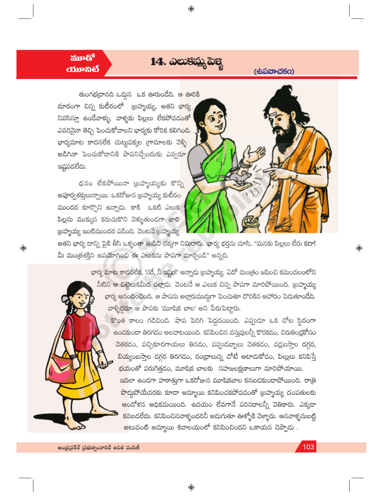## $\delta v$ *<u><b>CODER®*</u>

 $\bigoplus$ 

14. ఎలుకమ్మ పెక్క

 $\bigoplus$ 

(ස්බකැධරිර)

తుంగభద్రానది ఒద్దున ఒక ఊరుండేది. ఆ ఊరికి దూరంగా చిన్న కుటీరంలో (బహ్మయ్య, అతని భార్య నివసిస్తూ ఉండేవాళ్ళు. వాళ్ళకు పిల్లలు లేకపోవడ<mark>ంతో</mark> ఎవరినైనా తెచ్చి పెంచుకోవాలని భార్యకు కోరిక కలిగి<mark>ంది.</mark> భార్యమాట కాదనలేక చుట్టపక్కల గ్రామాలకు వెళ్ళి అడిగినా పెంచుకోడానికి పాపనిచ్చేందుకు ఎవ్వర<mark>ూ</mark> ఇష్టపదలేదు.

ధనం లేకపోయినా ట్రహ్మయ్యకు కొన్ని అపూర్వశక్తులున్నాయి. ఒకరోజున బ్రహ్మయ్య కుటీర<mark>ం</mark> ముందర కూర్చొని ఉన్నాదు. కాకి ఒకటి ఎలుక పిల్లను ముక్కున కరుచుకొని వెక్ళుతుండగా జారి (బహ్మయ్య ఇంటిముందర పడింది. వెంటనే (బహ్మయ్య



అతని భార్య దాన్ని పైకి తీసి ఒళ్ళంతా తుడిచి చక్కగా నిమిరారు. భార్య భర్తను చూసి, "మనకు పిల్లలు లేరు కదా! మీ మంత్రశక్తిని ఉపయోగించి ఈ ఎలుకను పాపగా మార్చండి" అన్నది.

> భార్య మాట కాదనలేక, 'సరే, నీ ఇష్టం!' అన్నాడు (బహ్మయ్య. ఏదో మం(తం జపించి కమండలంలోని నీటిని ఆ చి<mark>ట్టె</mark>లుకమీద చల్లాదు. వెంటనే ఆ ఎలుక చిన్న పాపగా మారిపోయింది. (బహ్మయ్య భార్య ఆనందించింది. ఆ పాపను అల్లారుముద్దగా పెంచుతూ దొరికిన ఆహారం పెదుతూండేది. వాళ్ళిద్దరూ ఆ పాపకు 'మూషిక బాల' అని పేరుపెట్టారు.

కొంత కాలం గడిచింది. పాప పెరిగి పెద్దదయింది. ఎప్పుడూ ఒక చోట స్థిరంగా ఉండకుండా తిరగడం అలవాటయింది. కనిపించిన వస్తువులన్నీ కొరకడం, చిరుతిండ్లకోసం వెతకడం, పచ్చికూరగాయలు తినడం, పప్పుడబ్బాలు వెతకడం, వడ్లబస్తాల దగ్గర, <mark>బియ్యంబస్తా</mark>ల దగ్గర తిరగడం, రంధ్రాలున్న చోటే ఆటాదుకోడం, పిల్లులు కనిపిస్తే భయంతో పరుగెత్తడం, మూషిక బాలకు సహజలక్షణాలుగా మారిపోయాయి.

ఇదిలా ఉండగా హఠాత్మగా ఒకరోజున మూషికబాల కనబడకుండాపోయింది. రాత్రి పొద్దపోయేవరకు కూడా అమ్మాయి కనిపించకపోవడంతో (బహ్మయ్య దంపతులకు .<br>ఆందోళన అధికమయింది. ఉదయం లేవగానే పరిసరాలన్నీ వెతికారు. ఎక్కడా కనబడలేదు. కనిపించినవాళ్ళందరినీ అడుగుతూ ఊళ్ళోకి వెళ్ళారు. అనవాళ్ళనుబట్టి అటువంటి అమ్మాయి శివాలయంలో కనిపించిందని ఒకాయన చెప్పాడు .

 $\textcolor{black}{\textcolor{black}{\bigoplus}}$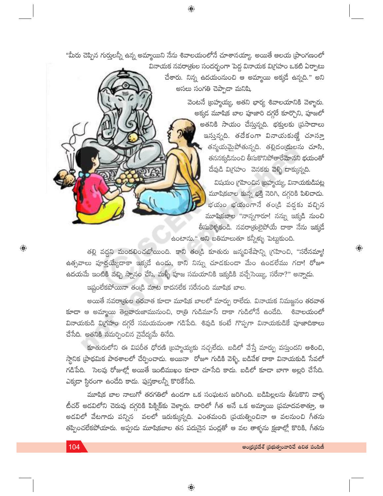$\bigoplus$ 

"మీరు చెప్పిన గుర్తులన్నీ ఉన్న అమ్మాయిని నేను శివాలయంలోనే చూశానయ్యా. అయితే ఆలయ [పాంగణంలో

వినాయక నవరాౖతుల సందర్భంగా పెద్ద వినాయక విగ్రహం ఒకటి ఏర్పాటు చేశారు. నిన్న ఉదయంనుంచి ఆ అమ్మాయి అక్కడే ఉన్నది." అని అసలు సంగతి చెప్పాడా మనిషి.

> వెంటనే (బహ్మయ్య, అతని భార్య శివాలయానికి వెళ్ళారు. అక్కడ మూషిక బాల పూజారి దగ్గరే కూర్చొని, పూజలో అతనికి సాయం చేస్తున్నది. భక్తులకు (పసాదాలు ఇస్తున్నది. తదేకంగా వినాయకుణ్ణే చూస్తూ తన్మయమైపోతున్నది. తల్లిదం(దులను చూసి, తననక్కడినుంచి తీసుకొనిపోతారేమోనని భయంతో దేవుడి విగ్రహం వెనకకు వెళ్ళి దాక్కున్నది.

విషయం గ్రహించిన బ్రహ్మయ్య, వినాయకుడిపట్ల మూషికబాల కున్న భక్తి నెరిగి, దగ్గరికి పిలిచాదు. భయం భయంగానే తండ్రి వద్దకు వచ్చిన మూషికబాల "నాన్నగారూ! నన్ను ఇక్కడి నుంచి తీసుకెళ్ళకండి. నవరాత్రులైపోయే దాకా నేను ఇక్కడే ఉంటాను." అని బతిమాలుతూ కన్నీళ్ళు పెట్టుకుంది.

 $\bigoplus$ 

తల్లి వద్దని మందలించబోయింది. కాని తండ్రి కూతురు జన్మవిశేషాన్ని (గహించి, "సరేనమ్మా! ఉత్సవాలు పూర్తయ్యేదాకా ఇక్కడే ఉండు, కాని నిన్ను చూడకుండా మేం ఉండలేము గదా! రోజూ ఉదయమే ఇంటికి వచ్చి స్నానం చేసి, మళ్ళీ పూజ సమయానికి ఇక్కడికి వచ్చేసెయ్యి, సరేనా?" అన్నాడు.

ఇష్టంలేకపోయినా తండ్రి మాట కాదనలేక సరేనంది మూషిక బాల.

అయితే నవరాౖతుల తరవాత కూడా మూషిక బాలలో మార్పు రాలేదు. వినాయక నిమజ్జనం తరవాత .<br>కూడా ఆ అమ్మాయి తెల్లవారుజామునుంచి, రాత్రి గుడిమూసే దాకా గుడిలోనే ఉండేది. శివాలయంలో వినాయకుడి విగ్రహం దగ్గరే సమయమంతా గడిపేది. శివుడి కంటే గొప్పగా వినాయకుడికే పూజాదికాలు చేసేది. అతనికి సమర్పించిన నైవేద్యమే తినేది.

కూతురులోని ఈ విపరీత ధోరణి (బహ్మయ్యకు నచ్చలేదు. బడిలో వేస్తే మార్పు వస్తుందని ఆశించి, స్థానిక (పాథమిక పాఠశాలలో చేర్పించాదు. అయినా రోజూ గుడికి వెళ్ళి, బడివేళ దాకా వినాయకుడి సేవలో గడిపేది. సెలవు రోజుల్లో అయితే ఇంటిముఖం కూడా చూసేది కాదు. బడిలో కూడా బాగా అల్లరి చేసేది. ఎక్కడా స్థిరంగా ఉండేది కాదు. పుస్తకాలన్నీ కొరికేసేది.

మూషిక బాల నాలుగో తరగతిలో ఉండగా ఒక సంఘటన జరిగింది. బడిపిల్లలను తీసుకొని వాళ్ళ టీచర్ అడవిలోని చెరువు దగ్గరికి పిక్నిక్కు వెళ్ళారు. దారిలో గీత అనే ఒక అమ్మాయి ప్రమాదవశాత్తూ, ఆ అడవిలో వేటగాడు పన్నిన వలలో ఇరుక్కున్నది. ఎంతమంది (పయత్నించినా ఆ వలనుంచి గీతను తప్పించలేకపోయారు. అప్పుడు మూషికబాల తన పదునైన పండ్లతో ఆ వల తాళ్ళను క్షణాల్లో కొరికి, గీతను

 $\bigoplus$ 

 $\bigoplus$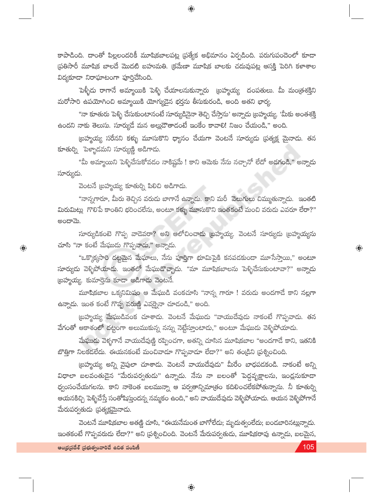కాపాడింది. దాంతో పిల్లలందరికీ మూషికబాలపట్ల (పత్యేక అభిమానం ఏర్పడింది. పరుగుపందెంలో కూడా ప్రతిసారీ మూషిక బాలదే మొదటి బహుమతి. (కమేణా మూషిక బాలకు చదువుపట్ల ఆసక్తి పెరిగి కళాశాల విద్యకూడా నిరాఘాటంగా పూర్తిచేసింది.

 $\bigoplus$ 

పెళ్ళీడు రాగానే అమ్మాయికి పెళ్ళి చేయాలనుకున్నారు (బహ్మయ్య దంపతులు. మీ మం(తశక్తిని మరోసారి ఉపయోగించి అమ్మాయికి యోగ్యుడైన భర్తను తీసుకురండి, అంది అతని భార్య.

"నా కూతురు పెళ్ళి చేసుకుంటానంటే సూర్యుడినైనా తెచ్చి చేస్తాను' అన్నాదు (బహ్మయ్య. 'మీకు అంతశక్తి .<br>ఉందని నాకు తెలుసు. సూర్యుదే మన అల్లుదౌతాడంటే ఇంకేం కావాలి! నిజం చేయండి," అంది.

(బహ్మయ్య సరేనని కళ్ళు మూసుకొని ధ్యానం చేయగా వెంటనే సూర్యుడు (పత్యక్ష మైనాడు. తన కూతుర్ని పెళ్ళాదమని సూర్యుణ్ణి అడిగాదు.

"మీ అమ్మాయిని పెళ్ళిచేసుకోవడం నాకిష్టమే ! కాని ఆమెకు నేను నచ్చానో లేదో అడగండి," అన్నాడు సూర్యుదు.

వెంటనే (బహ్మయ్య కూతుర్ని పిలిచి అడిగాడు.

"నాన్నగారూ, మీరు తెచ్చిన వరుడు బాగానే ఉన్నాడు. కాని మరీ వెలుగులు చిమ్ముతున్నాడు. ఇంతటి మిరుమిట్లు గొలిపే కాంతిని భరించలేను, అంటూ కళ్ళు మూసుకొని ఇంతకంటే మంచి వరుడు ఎవరూ లేరా?" ಅಂದ್**ಮೆ**.

సూర్యుడికంటె గొప్ప వాడెవరా? అని ఆలోచించాడు (బహ్మయ్య. వెంటనే సూర్యుడు (బహ్మయ్యను చూసి "నా కంటే మేఘుడు గొప్పవాడు," అన్నాడు.

"ఒక్కొక్కసారి దట్టమైన మేఘాలు, నేను పూరిగా భూమిపైకి కనపడకుండా మూసేస్తాయి," అంటూ సూర్యుడు వెళ్ళిపోయాడు. ఇంతలో మేఘుడొచ్చాదు. "మా మూషికబాలను పెళ్ళిచేసుకుంటావా?" అన్నాడు (బహ్మయ్య. కుమార్తెను కూడా అడిగాడు వెంటనే.

మూషికబాల ఒక్కనిమిషం ఆ మేఘుడి వంకచూసి "నాన్న గారూ ! వరుడు అందగాడే కాని నల్లగా ఉన్నాదు. ఇంత కంటే గొప్ప వరుణ్ణి ఎవర్నైనా చూడండి," అంది.

(బహ్మయ్య మేఘుడివంక చూశాడు. వెంటనే మేఘుడు "వాయుదేవుడు నాకంటే గొప్పవాడు. తన వేగంతో ఆకాశంలో దట్టంగా అలుముకున్న నన్ను నెట్టేస్తూంటాడు," అంటూ మేఘుడు వెళ్ళిపోయాడు.

మేఘుడు వెళ్ళగానే వాయుదేవుణ్ణి రప్పించగా, అతన్ని చూసిన మూషికబాల "అందగాడే కాని, ఇతనికి బొత్తిగా నిలకడలేదు. ఈయనకంటే మంచివాడూ గొప్పవాడూ లేడా?" అని తం[డిని [పశ్నించింది.

(బహ్మయ్య అన్ని వైపులా చూశాదు. వెంటనే వాయుదేవుడు" మీరేం బాధపడకండి. నాకంటే అన్ని విధాలా బలవంతుడైన "మేరుపర్వతుడు" ఉన్నాడు. నేను నా బలంతో పెద్దవృక్షాలను, ఇంద్లనుకూడా ధ్వంసంచేయగలను. కాని నాకెంత బలమున్నా ఆ పర్వతాన్నిమాత్రం కదిలించలేకపోతున్నాను. నీ కూతుర్ని ఆయనకిచ్చి పెళ్ళిచేస్తే సంతోషిస్తుందన్న నమ్మకం ఉంది," అని వాయుదేవుడు వెళ్ళిపోయాడు. ఆయన వెళ్ళిపోగానే మేరుపర్వతుడు (పత్యక్షమైనాడు.

వెంటనే మూషికబాల అతణ్ణి చూసి, "ఈయనేమంత బాగోలేదు; మృదుత్వంలేదు; బండబారినట్లున్నాదు. ఇంతకంటే గొప్పవరుడు లేడా?" అని (పశ్నించింది. వెంటనే మేరుపర్వతుడు, మూషికరావు ఉన్నాడు, బలమైన,

 $\overline{\mathbin{\circledbullet}}$ 

 $\textcolor{black}{\textcolor{black}{\bigoplus}}$